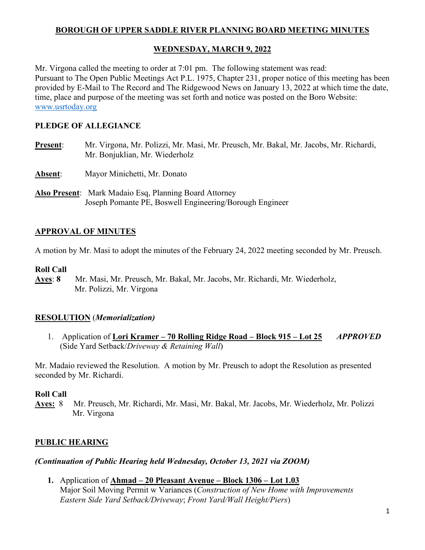## **BOROUGH OF UPPER SADDLE RIVER PLANNING BOARD MEETING MINUTES**

## **WEDNESDAY, MARCH 9, 2022**

Mr. Virgona called the meeting to order at 7:01 pm. The following statement was read: Pursuant to The Open Public Meetings Act P.L. 1975, Chapter 231, proper notice of this meeting has been provided by E-Mail to The Record and The Ridgewood News on January 13, 2022 at which time the date, time, place and purpose of the meeting was set forth and notice was posted on the Boro Website: [www.usrtoday.org](http://www.usrtoday.org/)

## **PLEDGE OF ALLEGIANCE**

- **Present**: Mr. Virgona, Mr. Polizzi, Mr. Masi, Mr. Preusch, Mr. Bakal, Mr. Jacobs, Mr. Richardi, Mr. Bonjuklian, Mr. Wiederholz
- **Absent:** Mayor Minichetti, Mr. Donato
- **Also Present**: Mark Madaio Esq, Planning Board Attorney Joseph Pomante PE, Boswell Engineering/Borough Engineer

# **APPROVAL OF MINUTES**

A motion by Mr. Masi to adopt the minutes of the February 24, 2022 meeting seconded by Mr. Preusch.

#### **Roll Call**

**Ayes**: **8** Mr. Masi, Mr. Preusch, Mr. Bakal, Mr. Jacobs, Mr. Richardi, Mr. Wiederholz, Mr. Polizzi, Mr. Virgona

# **RESOLUTION** (*Memorialization)*

1. Application of **Lori Kramer – 70 Rolling Ridge Road – Block 915 – Lot 25** *APPROVED* (Side Yard Setback/*Driveway & Retaining Wall*)

Mr. Madaio reviewed the Resolution. A motion by Mr. Preusch to adopt the Resolution as presented seconded by Mr. Richardi.

#### **Roll Call**

**Ayes:** 8 Mr. Preusch, Mr. Richardi, Mr. Masi, Mr. Bakal, Mr. Jacobs, Mr. Wiederholz, Mr. Polizzi Mr. Virgona

# **PUBLIC HEARING**

#### *(Continuation of Public Hearing held Wednesday, October 13, 2021 via ZOOM)*

**1.** Application of **Ahmad – 20 Pleasant Avenue – Block 1306 – Lot 1.03**  Major Soil Moving Permit w Variances (*Construction of New Home with Improvements Eastern Side Yard Setback/Driveway*; *Front Yard/Wall Height/Piers*)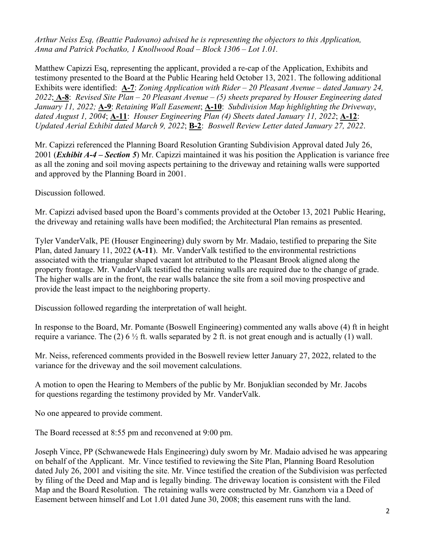*Arthur Neiss Esq, (Beattie Padovano) advised he is representing the objectors to this Application, Anna and Patrick Pochatko, 1 Knollwood Road – Block 1306 – Lot 1.01.* 

Matthew Capizzi Esq, representing the applicant, provided a re-cap of the Application, Exhibits and testimony presented to the Board at the Public Hearing held October 13, 2021. The following additional Exhibits were identified: **A-7**: *Zoning Application with Rider – 20 Pleasant Avenue – dated January 24, 2022*; **A-8**: *Revised Site Plan – 20 Pleasant Avenue – (5) sheets prepared by Houser Engineering dated January 11, 2022;* **A-9**: *Retaining Wall Easement*; **A-10**: *Subdivision Map highlighting the Driveway*, *dated August 1, 2004*; **A-11**: *Houser Engineering Plan (4) Sheets dated January 11, 2022*; **A-12**: *Updated Aerial Exhibit dated March 9, 2022*; **B-2**: *Boswell Review Letter dated January 27, 2022*.

Mr. Capizzi referenced the Planning Board Resolution Granting Subdivision Approval dated July 26, 2001 (*Exhibit A-4 – Section 5*) Mr. Capizzi maintained it was his position the Application is variance free as all the zoning and soil moving aspects pertaining to the driveway and retaining walls were supported and approved by the Planning Board in 2001.

Discussion followed.

Mr. Capizzi advised based upon the Board's comments provided at the October 13, 2021 Public Hearing, the driveway and retaining walls have been modified; the Architectural Plan remains as presented.

Tyler VanderValk, PE (Houser Engineering) duly sworn by Mr. Madaio, testified to preparing the Site Plan, dated January 11, 2022 **(A-11**). Mr. VanderValk testified to the environmental restrictions associated with the triangular shaped vacant lot attributed to the Pleasant Brook aligned along the property frontage. Mr. VanderValk testified the retaining walls are required due to the change of grade. The higher walls are in the front, the rear walls balance the site from a soil moving prospective and provide the least impact to the neighboring property.

Discussion followed regarding the interpretation of wall height.

In response to the Board, Mr. Pomante (Boswell Engineering) commented any walls above (4) ft in height require a variance. The (2) 6  $\frac{1}{2}$  ft. walls separated by 2 ft. is not great enough and is actually (1) wall.

Mr. Neiss, referenced comments provided in the Boswell review letter January 27, 2022, related to the variance for the driveway and the soil movement calculations.

A motion to open the Hearing to Members of the public by Mr. Bonjuklian seconded by Mr. Jacobs for questions regarding the testimony provided by Mr. VanderValk.

No one appeared to provide comment.

The Board recessed at 8:55 pm and reconvened at 9:00 pm.

Joseph Vince, PP (Schwanewede Hals Engineering) duly sworn by Mr. Madaio advised he was appearing on behalf of the Applicant. Mr. Vince testified to reviewing the Site Plan, Planning Board Resolution dated July 26, 2001 and visiting the site. Mr. Vince testified the creation of the Subdivision was perfected by filing of the Deed and Map and is legally binding. The driveway location is consistent with the Filed Map and the Board Resolution. The retaining walls were constructed by Mr. Ganzhorn via a Deed of Easement between himself and Lot 1.01 dated June 30, 2008; this easement runs with the land.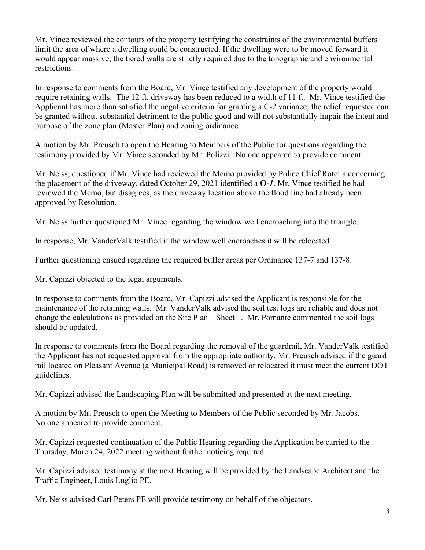Mr. Vince reviewed the contours of the property testifying the constraints of the environmental buffers limit the area of where a dwelling could be constructed. If the dwelling were to be moved forward it would appear massive; the tiered walls are strictly required due to the topographic and environmental restrictions.

In response to comments from the Board, Mr. Vince testified any development of the property would require retaining walls. The 12 ft. driveway has been reduced to a width of 11 ft. Mr. Vince testified the Applicant has more than satisfied the negative criteria for granting a C-2 variance; the relief requested can be granted without substantial detriment to the public good and will not substantially impair the intent and purpose of the zone plan (Master Plan) and zoning ordinance.

A motion by Mr. Preusch to open the Hearing to Members of the Public for questions regarding the testimony provided by Mr. Vince seconded by Mr. Polizzi. No one appeared to provide comment.

Mr. Neiss, questioned if Mr. Vince had reviewed the Memo provided by Police Chief Rotella concerning the placement of the driveway, dated October 29, 2021 identified a **O-***1*. Mr. Vince testified he had reviewed the Memo, but disagrees, as the driveway location above the flood line had already been approved by Resolution.

Mr. Neiss further questioned Mr. Vince regarding the window well encroaching into the triangle.

In response, Mr. VanderValk testified if the window well encroaches it will be relocated.

Further questioning ensued regarding the required buffer areas per Ordinance 137-7 and 137-8.

Mr. Capizzi objected to the legal arguments.

In response to comments from the Board, Mr. Capizzi advised the Applicant is responsible for the maintenance of the retaining walls. Mr. VanderValk advised the soil test logs are reliable and does not change the calculations as provided on the Site Plan – Sheet 1. Mr. Pomante commented the soil logs should be updated.

In response to comments from the Board regarding the removal of the guardrail, Mr. VanderValk testified the Applicant has not requested approval from the appropriate authority. Mr. Preusch advised if the guard rail located on Pleasant Avenue (a Municipal Road) is removed or relocated it must meet the current DOT guidelines.

Mr. Capizzi advised the Landscaping Plan will be submitted and presented at the next meeting.

A motion by Mr. Preusch to open the Meeting to Members of the Public seconded by Mr. Jacobs. No one appeared to provide comment.

Mr. Capizzi requested continuation of the Public Hearing regarding the Application be carried to the Thursday, March 24, 2022 meeting without further noticing required.

Mr. Capizzi advised testimony at the next Hearing will be provided by the Landscape Architect and the Traffic Engineer, Louis Luglio PE.

Mr. Neiss advised Carl Peters PE will provide testimony on behalf of the objectors.